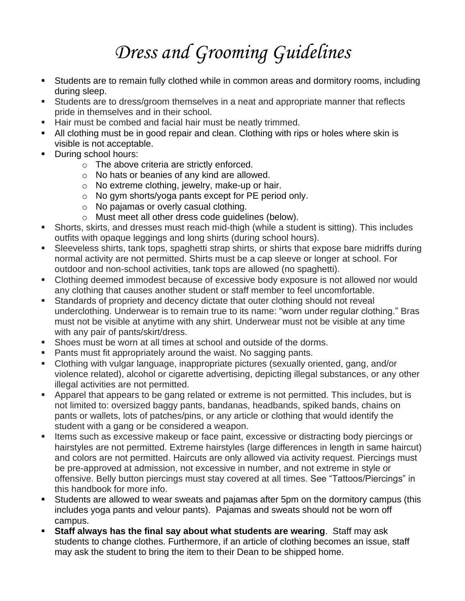# *Dress and Grooming Guidelines*

- Students are to remain fully clothed while in common areas and dormitory rooms, including during sleep.
- Students are to dress/groom themselves in a neat and appropriate manner that reflects pride in themselves and in their school.
- Hair must be combed and facial hair must be neatly trimmed.
- All clothing must be in good repair and clean. Clothing with rips or holes where skin is visible is not acceptable.
- During school hours:
	- o The above criteria are strictly enforced.
	- o No hats or beanies of any kind are allowed.
	- o No extreme clothing, jewelry, make-up or hair.
	- o No gym shorts/yoga pants except for PE period only.
	- o No pajamas or overly casual clothing.
	- o Must meet all other dress code guidelines (below).
- **EXECT** Shorts, skirts, and dresses must reach mid-thigh (while a student is sitting). This includes outfits with opaque leggings and long shirts (during school hours).
- Sleeveless shirts, tank tops, spaghetti strap shirts, or shirts that expose bare midriffs during normal activity are not permitted. Shirts must be a cap sleeve or longer at school. For outdoor and non-school activities, tank tops are allowed (no spaghetti).
- Clothing deemed immodest because of excessive body exposure is not allowed nor would any clothing that causes another student or staff member to feel uncomfortable.
- Standards of propriety and decency dictate that outer clothing should not reveal underclothing. Underwear is to remain true to its name: "worn under regular clothing." Bras must not be visible at anytime with any shirt. Underwear must not be visible at any time with any pair of pants/skirt/dress.
- Shoes must be worn at all times at school and outside of the dorms.
- Pants must fit appropriately around the waist. No sagging pants.
- Clothing with vulgar language, inappropriate pictures (sexually oriented, gang, and/or violence related), alcohol or cigarette advertising, depicting illegal substances, or any other illegal activities are not permitted.
- Apparel that appears to be gang related or extreme is not permitted. This includes, but is not limited to: oversized baggy pants, bandanas, headbands, spiked bands, chains on pants or wallets, lots of patches/pins, or any article or clothing that would identify the student with a gang or be considered a weapon.
- **EXECT** Items such as excessive makeup or face paint, excessive or distracting body piercings or hairstyles are not permitted. Extreme hairstyles (large differences in length in same haircut) and colors are not permitted. Haircuts are only allowed via activity request. Piercings must be pre-approved at admission, not excessive in number, and not extreme in style or offensive. Belly button piercings must stay covered at all times. See "Tattoos/Piercings" in this handbook for more info.
- **EXECT** Students are allowed to wear sweats and pajamas after 5pm on the dormitory campus (this includes yoga pants and velour pants). Pajamas and sweats should not be worn off campus.
- **Staff always has the final say about what students are wearing. Staff may ask** students to change clothes. Furthermore, if an article of clothing becomes an issue, staff may ask the student to bring the item to their Dean to be shipped home.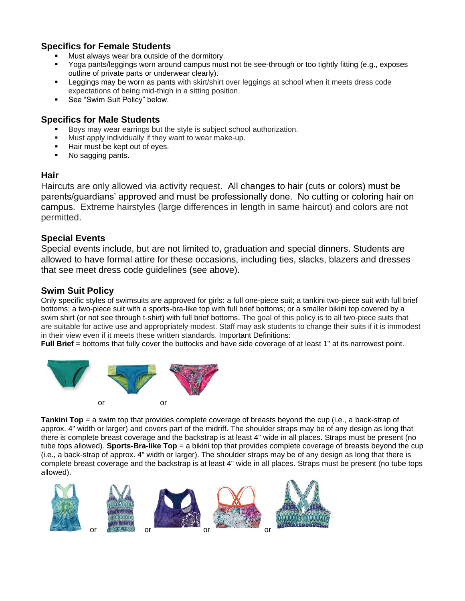### **Specifics for Female Students**

- Must always wear bra outside of the dormitory.
- Yoga pants/leggings worn around campus must not be see-through or too tightly fitting (e.g., exposes outline of private parts or underwear clearly).
- Leggings may be worn as pants with skirt/shirt over leggings at school when it meets dress code expectations of being mid-thigh in a sitting position.
- See "Swim Suit Policy" below.

#### **Specifics for Male Students**

- Boys may wear earrings but the style is subject school authorization.
- Must apply individually if they want to wear make-up.
- Hair must be kept out of eyes.
- No sagging pants.

#### **Hair**

Haircuts are only allowed via activity request. All changes to hair (cuts or colors) must be parents/guardians' approved and must be professionally done. No cutting or coloring hair on campus. Extreme hairstyles (large differences in length in same haircut) and colors are not permitted.

#### **Special Events**

Special events include, but are not limited to, graduation and special dinners. Students are allowed to have formal attire for these occasions, including ties, slacks, blazers and dresses that see meet dress code guidelines (see above).

#### **Swim Suit Policy**

Only specific styles of swimsuits are approved for girls: a full one-piece suit; a tankini two-piece suit with full brief bottoms; a two-piece suit with a sports-bra-like top with full brief bottoms; or a smaller bikini top covered by a swim shirt (or not see through t-shirt) with full brief bottoms. The goal of this policy is to all two-piece suits that are suitable for active use and appropriately modest. Staff may ask students to change their suits if it is immodest in their view even if it meets these written standards. Important Definitions:

**Full Brief** = bottoms that fully cover the buttocks and have side coverage of at least 1" at its narrowest point.



**Tankini Top** = a swim top that provides complete coverage of breasts beyond the cup (i.e., a back-strap of approx. 4" width or larger) and covers part of the midriff. The shoulder straps may be of any design as long that there is complete breast coverage and the backstrap is at least 4" wide in all places. Straps must be present (no tube tops allowed). **Sports-Bra-like Top** = a bikini top that provides complete coverage of breasts beyond the cup (i.e., a back-strap of approx. 4" width or larger). The shoulder straps may be of any design as long that there is complete breast coverage and the backstrap is at least 4" wide in all places. Straps must be present (no tube tops allowed).